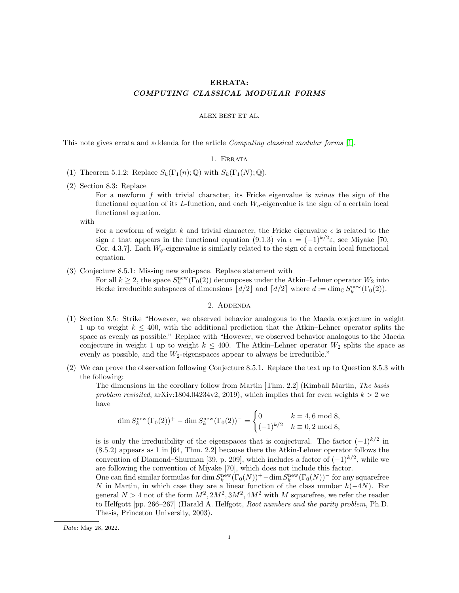# ERRATA: COMPUTING CLASSICAL MODULAR FORMS

### ALEX BEST ET AL.

This note gives errata and addenda for the article Computing classical modular forms [\[1\]](#page-1-0).

## 1. Errata

- (1) Theorem 5.1.2: Replace  $S_k(\Gamma_1(n); \mathbb{Q})$  with  $S_k(\Gamma_1(N); \mathbb{Q})$ .
- (2) Section 8.3: Replace

For a newform f with trivial character, its Fricke eigenvalue is minus the sign of the functional equation of its L-function, and each  $W_q$ -eigenvalue is the sign of a certain local functional equation.

with

For a newform of weight k and trivial character, the Fricke eigenvalue  $\epsilon$  is related to the sign  $\varepsilon$  that appears in the functional equation (9.1.3) via  $\epsilon = (-1)^{k/2} \varepsilon$ , see Miyake [70, Cor. 4.3.7]. Each  $W_q$ -eigenvalue is similarly related to the sign of a certain local functional equation.

(3) Conjecture 8.5.1: Missing new subspace. Replace statement with

For all  $k \geq 2$ , the space  $S_k^{\text{new}}(\Gamma_0(2))$  decomposes under the Atkin–Lehner operator  $W_2$  into Hecke irreducible subspaces of dimensions  $\lfloor d/2 \rfloor$  and  $\lceil d/2 \rceil$  where  $d := \dim_{\mathbb{C}} S_k^{\text{new}}(\Gamma_0(2)).$ 

# 2. Addenda

- (1) Section 8.5: Strike "However, we observed behavior analogous to the Maeda conjecture in weight 1 up to weight  $k \leq 400$ , with the additional prediction that the Atkin–Lehner operator splits the space as evenly as possible." Replace with "However, we observed behavior analogous to the Maeda conjecture in weight 1 up to weight  $k \leq 400$ . The Atkin–Lehner operator  $W_2$  splits the space as evenly as possible, and the  $W_2$ -eigenspaces appear to always be irreducible."
- (2) We can prove the observation following Conjecture 8.5.1. Replace the text up to Question 8.5.3 with the following:

The dimensions in the corollary follow from Martin [Thm. 2.2] (Kimball Martin, The basis problem revisited, arXiv:1804.04234v2, 2019), which implies that for even weights  $k > 2$  we have

$$
\dim S_k^{\text{new}}(\Gamma_0(2))^+ - \dim S_k^{\text{new}}(\Gamma_0(2))^-\n= \n\begin{cases}\n0 & k = 4, 6 \text{ mod } 8, \\
(-1)^{k/2} & k \equiv 0, 2 \text{ mod } 8,\n\end{cases}
$$

is is only the irreducibility of the eigenspaces that is conjectural. The factor  $(-1)^{k/2}$  in (8.5.2) appears as 1 in [64, Thm. 2.2] because there the Atkin-Lehner operator follows the convention of Diamond–Shurman [39, p. 209], which includes a factor of  $(-1)^{k/2}$ , while we are following the convention of Miyake [70], which does not include this factor.

One can find similar formulas for dim  $S_k^{\text{new}}(\Gamma_0(N))^+$  – dim  $S_k^{\text{new}}(\Gamma_0(N))^-$  for any squarefree N in Martin, in which case they are a linear function of the class number  $h(-4N)$ . For general  $N > 4$  not of the form  $M^2$ ,  $2M^2$ ,  $3M^2$ ,  $4M^2$  with M squarefree, we refer the reader to Helfgott [pp. 266–267] (Harald A. Helfgott, Root numbers and the parity problem, Ph.D. Thesis, Princeton University, 2003).

Date: May 28, 2022.